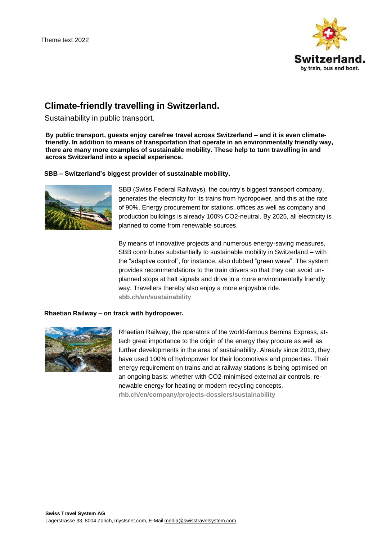

# **Climate-friendly travelling in Switzerland.**

Sustainability in public transport.

**By public transport, guests enjoy carefree travel across Switzerland – and it is even climatefriendly. In addition to means of transportation that operate in an environmentally friendly way, there are many more examples of sustainable mobility. These help to turn travelling in and across Switzerland into a special experience.**

# **SBB – Switzerland's biggest provider of sustainable mobility.**



SBB (Swiss Federal Railways), the country's biggest transport company, generates the electricity for its trains from hydropower, and this at the rate of 90%. Energy procurement for stations, offices as well as company and production buildings is already 100% CO2-neutral. By 2025, all electricity is planned to come from renewable sources.

By means of innovative projects and numerous energy-saving measures, SBB contributes substantially to sustainable mobility in Switzerland – with the "adaptive control", for instance, also dubbed "green wave". The system provides recommendations to the train drivers so that they can avoid unplanned stops at halt signals and drive in a more environmentally friendly way. Travellers thereby also enjoy a more enjoyable ride. **[sbb.ch/en/sustainability](https://company.sbb.ch/de/ueber-die-sbb/die-sbb-bewegt-die-schweiz/nachhaltigkeit-bei-der-sbb.html?tracking-marketingurl=sustainability)**

## **Rhaetian Railway – on track with hydropower.**



Rhaetian Railway, the operators of the world-famous Bernina Express, attach great importance to the origin of the energy they procure as well as further developments in the area of sustainability. Already since 2013, they have used 100% of hydropower for their locomotives and properties. Their energy requirement on trains and at railway stations is being optimised on an ongoing basis: whether with CO2-minimised external air controls, renewable energy for heating or modern recycling concepts. **[rhb.ch/en/company/projects-dossiers/sustainability](https://www.rhb.ch/en/company/projects-dossiers/sustainability)**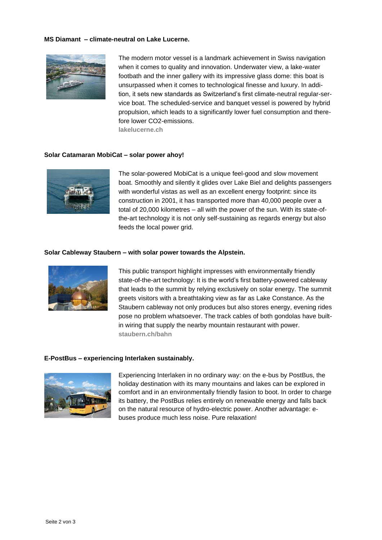## **MS Diamant – climate-neutral on Lake Lucerne.**



The modern motor vessel is a landmark achievement in Swiss navigation when it comes to quality and innovation. Underwater view, a lake-water footbath and the inner gallery with its impressive glass dome: this boat is unsurpassed when it comes to technological finesse and luxury. In addition, it sets new standards as Switzerland's first climate-neutral regular-service boat. The scheduled-service and banquet vessel is powered by hybrid propulsion, which leads to a significantly lower fuel consumption and therefore lower CO2-emissions. **lakelucerne.ch**

## **Solar Catamaran MobiCat – solar power ahoy!**



The solar-powered MobiCat is a unique feel-good and slow movement boat. Smoothly and silently it glides over Lake Biel and delights passengers with wonderful vistas as well as an excellent energy footprint: since its construction in 2001, it has transported more than 40,000 people over a total of 20,000 kilometres – all with the power of the sun. With its state-ofthe-art technology it is not only self-sustaining as regards energy but also feeds the local power grid.

#### **Solar Cableway Staubern – with solar power towards the Alpstein.**



This public transport highlight impresses with environmentally friendly state-of-the-art technology: It is the world's first battery-powered cableway that leads to the summit by relying exclusively on solar energy. The summit greets visitors with a breathtaking view as far as Lake Constance. As the Staubern cableway not only produces but also stores energy, evening rides pose no problem whatsoever. The track cables of both gondolas have builtin wiring that supply the nearby mountain restaurant with power. **staubern.ch/bahn**

#### **E-PostBus – experiencing Interlaken sustainably.**



Experiencing Interlaken in no ordinary way: on the e-bus by PostBus, the holiday destination with its many mountains and lakes can be explored in comfort and in an environmentally friendly fasion to boot. In order to charge its battery, the PostBus relies entirely on renewable energy and falls back on the natural resource of hydro-electric power. Another advantage: ebuses produce much less noise. Pure relaxation!